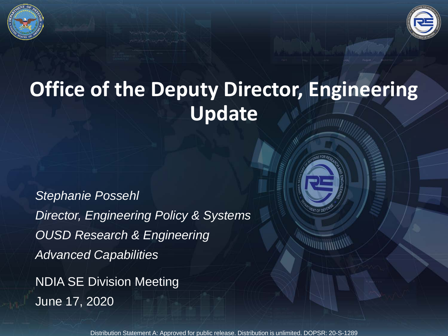

# **Office of the Deputy Director, Engineering Update**

*Stephanie Possehl Director, Engineering Policy & Systems OUSD Research & Engineering Advanced Capabilities*

NDIA SE Division Meeting June 17, 2020



Distribution Statement A: Approved for public release. Distribution is unlimited. DOPSR: 20-S-1289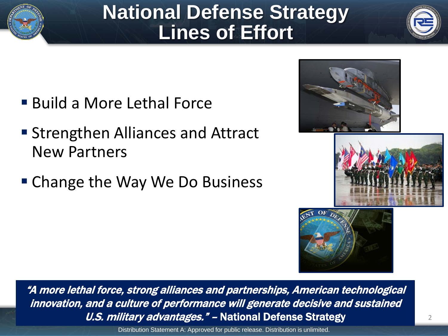

# **National Defense Strategy Lines of Effort**



- Build a More Lethal Force
- **Strengthen Alliances and Attract** New Partners
- Change the Way We Do Business







"A more lethal force, strong alliances and partnerships, American technological innovation, and a culture of performance will generate decisive and sustained U.S. military advantages." - National Defense Strategy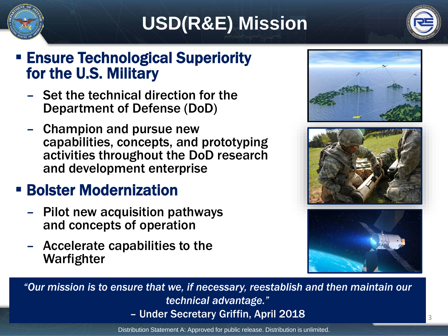

# **USD(R&E) Mission**



## **Ensure Technological Superiority** for the U.S. Military

- Set the technical direction for the Department of Defense (DoD)
- Champion and pursue new capabilities, concepts, and prototyping activities throughout the DoD research and development enterprise

## **E** Bolster Modernization

- Pilot new acquisition pathways and concepts of operation
- Accelerate capabilities to the Warfighter







*"Our mission is to ensure that we, if necessary, reestablish and then maintain our technical advantage."*  – Under Secretary Griffin, April 2018

Distribution Statement A: Approved for public release. Distribution is unlimited.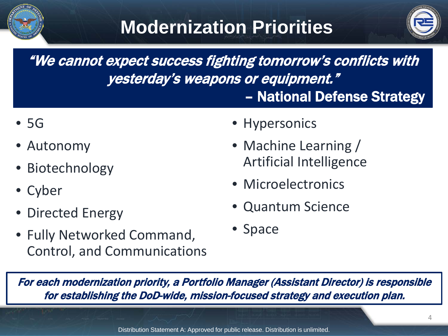



"We cannot expect success fighting tomorrow's conflicts with yesterday's weapons or equipment." – National Defense Strategy

- 5G
- Autonomy
- Biotechnology
- Cyber
- Directed Energy
- Fully Networked Command, Control, and Communications
- Hypersonics
- Machine Learning / Artificial Intelligence
- Microelectronics
- Quantum Science
- Space

For each modernization priority, a Portfolio Manager (Assistant Director) is responsible for establishing the DoD-wide, mission-focused strategy and execution plan.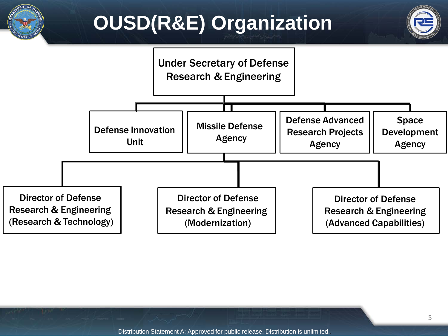# **OUSD(R&E) Organization**





Distribution Statement A: Approved for public release. Distribution is unlimited..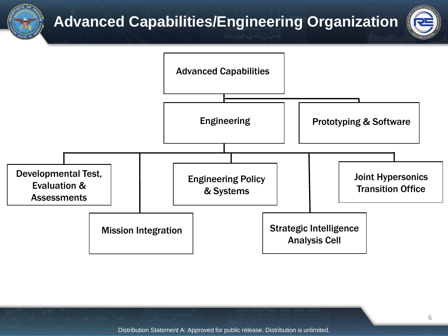**Advanced Capabilities/Engineering Organization**





Distribution Statement A: Approved for public release. Distribution is unlimited.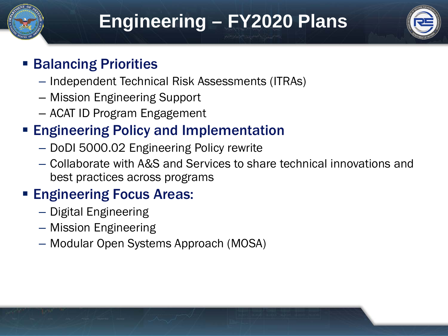

## **Engineering – FY2020 Plans**



## **Balancing Priorities**

- Independent Technical Risk Assessments (ITRAs)
- Mission Engineering Support
- ACAT ID Program Engagement

## **Engineering Policy and Implementation**

- DoDI 5000.02 Engineering Policy rewrite
- Collaborate with A&S and Services to share technical innovations and best practices across programs

## **Engineering Focus Areas:**

- Digital Engineering
- Mission Engineering
- Modular Open Systems Approach (MOSA)